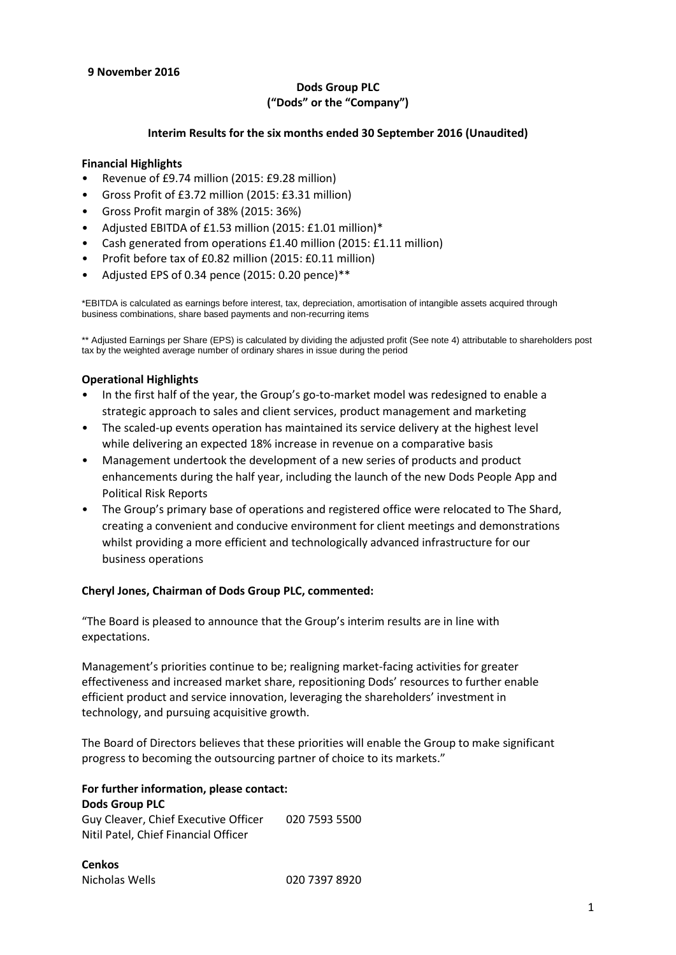# **9 November 2016**

# **Dods Group PLC ("Dods" or the "Company")**

# **Interim Results for the six months ended 30 September 2016 (Unaudited)**

# **Financial Highlights**

- Revenue of £9.74 million (2015: £9.28 million)
- Gross Profit of £3.72 million (2015: £3.31 million)
- Gross Profit margin of 38% (2015: 36%)
- Adjusted EBITDA of £1.53 million (2015: £1.01 million)\*
- Cash generated from operations £1.40 million (2015: £1.11 million)
- Profit before tax of £0.82 million (2015: £0.11 million)
- Adjusted EPS of 0.34 pence (2015: 0.20 pence)\*\*

\*EBITDA is calculated as earnings before interest, tax, depreciation, amortisation of intangible assets acquired through business combinations, share based payments and non-recurring items

\*\* Adjusted Earnings per Share (EPS) is calculated by dividing the adjusted profit (See note 4) attributable to shareholders post tax by the weighted average number of ordinary shares in issue during the period

# **Operational Highlights**

- In the first half of the year, the Group's go-to-market model was redesigned to enable a strategic approach to sales and client services, product management and marketing
- The scaled-up events operation has maintained its service delivery at the highest level while delivering an expected 18% increase in revenue on a comparative basis
- Management undertook the development of a new series of products and product enhancements during the half year, including the launch of the new Dods People App and Political Risk Reports
- The Group's primary base of operations and registered office were relocated to The Shard, creating a convenient and conducive environment for client meetings and demonstrations whilst providing a more efficient and technologically advanced infrastructure for our business operations

# **Cheryl Jones, Chairman of Dods Group PLC, commented:**

"The Board is pleased to announce that the Group's interim results are in line with expectations.

Management's priorities continue to be; realigning market-facing activities for greater effectiveness and increased market share, repositioning Dods' resources to further enable efficient product and service innovation, leveraging the shareholders' investment in technology, and pursuing acquisitive growth.

The Board of Directors believes that these priorities will enable the Group to make significant progress to becoming the outsourcing partner of choice to its markets."

#### **For further information, please contact: Dods Group PLC**

Guy Cleaver, Chief Executive Officer 020 7593 5500 Nitil Patel, Chief Financial Officer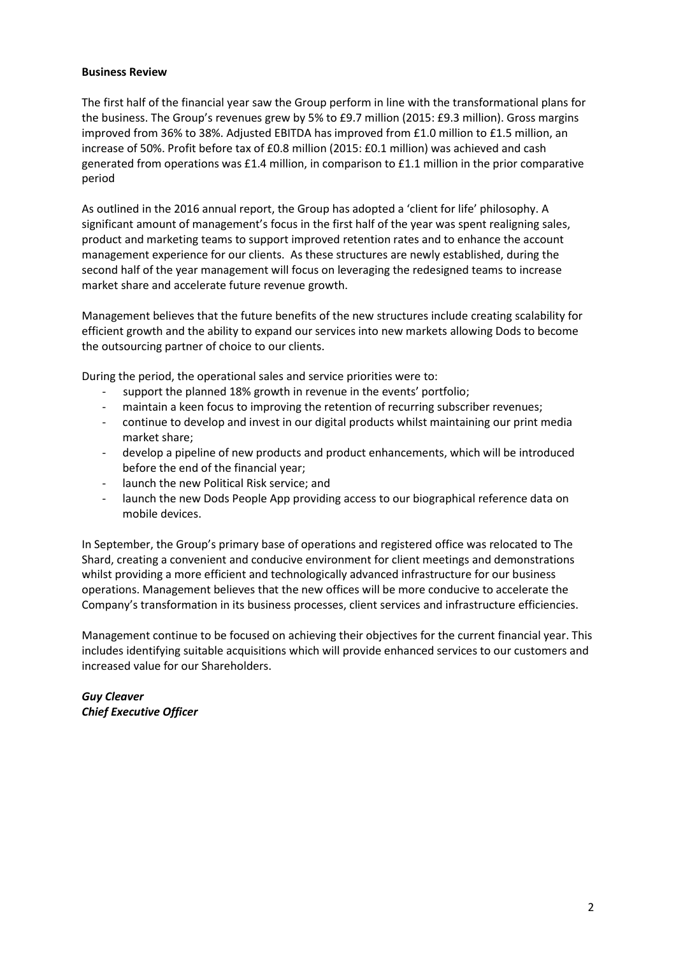# **Business Review**

The first half of the financial year saw the Group perform in line with the transformational plans for the business. The Group's revenues grew by 5% to £9.7 million (2015: £9.3 million). Gross margins improved from 36% to 38%. Adjusted EBITDA has improved from £1.0 million to £1.5 million, an increase of 50%. Profit before tax of £0.8 million (2015: £0.1 million) was achieved and cash generated from operations was £1.4 million, in comparison to £1.1 million in the prior comparative period

As outlined in the 2016 annual report, the Group has adopted a 'client for life' philosophy. A significant amount of management's focus in the first half of the year was spent realigning sales, product and marketing teams to support improved retention rates and to enhance the account management experience for our clients. As these structures are newly established, during the second half of the year management will focus on leveraging the redesigned teams to increase market share and accelerate future revenue growth.

Management believes that the future benefits of the new structures include creating scalability for efficient growth and the ability to expand our services into new markets allowing Dods to become the outsourcing partner of choice to our clients.

During the period, the operational sales and service priorities were to:

- support the planned 18% growth in revenue in the events' portfolio;
- maintain a keen focus to improving the retention of recurring subscriber revenues;
- continue to develop and invest in our digital products whilst maintaining our print media market share;
- develop a pipeline of new products and product enhancements, which will be introduced before the end of the financial year;
- launch the new Political Risk service; and
- launch the new Dods People App providing access to our biographical reference data on mobile devices.

In September, the Group's primary base of operations and registered office was relocated to The Shard, creating a convenient and conducive environment for client meetings and demonstrations whilst providing a more efficient and technologically advanced infrastructure for our business operations. Management believes that the new offices will be more conducive to accelerate the Company's transformation in its business processes, client services and infrastructure efficiencies.

Management continue to be focused on achieving their objectives for the current financial year. This includes identifying suitable acquisitions which will provide enhanced services to our customers and increased value for our Shareholders.

*Guy Cleaver Chief Executive Officer*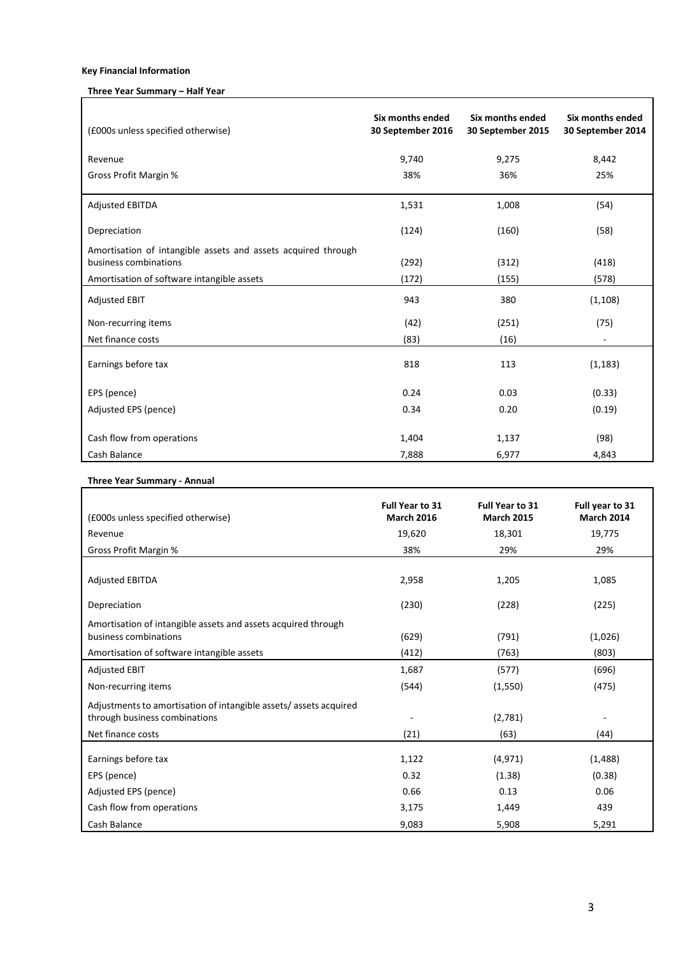## **Key Financial Information**

r

## **Three Year Summary – Half Year**

| (£000s unless specified otherwise)                                                     | Six months ended<br>30 September 2016 | <b>Six months ended</b><br>30 September 2015 | Six months ended<br>30 September 2014 |
|----------------------------------------------------------------------------------------|---------------------------------------|----------------------------------------------|---------------------------------------|
| Revenue                                                                                | 9,740                                 | 9,275                                        | 8,442                                 |
| <b>Gross Profit Margin %</b>                                                           | 38%                                   | 36%                                          | 25%                                   |
| <b>Adjusted EBITDA</b>                                                                 | 1,531                                 | 1,008                                        | (54)                                  |
| Depreciation                                                                           | (124)                                 | (160)                                        | (58)                                  |
| Amortisation of intangible assets and assets acquired through<br>business combinations | (292)                                 | (312)                                        | (418)                                 |
| Amortisation of software intangible assets                                             | (172)                                 | (155)                                        | (578)                                 |
| <b>Adjusted EBIT</b>                                                                   | 943                                   | 380                                          | (1, 108)                              |
| Non-recurring items                                                                    | (42)                                  | (251)                                        | (75)                                  |
| Net finance costs                                                                      | (83)                                  | (16)                                         |                                       |
| Earnings before tax                                                                    | 818                                   | 113                                          | (1, 183)                              |
| EPS (pence)                                                                            | 0.24                                  | 0.03                                         | (0.33)                                |
| Adjusted EPS (pence)                                                                   | 0.34                                  | 0.20                                         | (0.19)                                |
| Cash flow from operations                                                              | 1,404                                 | 1,137                                        | (98)                                  |
| Cash Balance                                                                           | 7,888                                 | 6,977                                        | 4,843                                 |

# **Three Year Summary - Annual**

| (£000s unless specified otherwise)                                                                                     | Full Year to 31<br><b>March 2016</b> | Full Year to 31<br><b>March 2015</b> | Full year to 31<br><b>March 2014</b> |
|------------------------------------------------------------------------------------------------------------------------|--------------------------------------|--------------------------------------|--------------------------------------|
| Revenue                                                                                                                | 19,620                               | 18,301                               | 19,775                               |
| Gross Profit Margin %                                                                                                  | 38%                                  | 29%                                  | 29%                                  |
| <b>Adjusted EBITDA</b>                                                                                                 | 2,958                                | 1,205                                | 1,085                                |
| Depreciation                                                                                                           | (230)                                | (228)                                | (225)                                |
| Amortisation of intangible assets and assets acquired through<br>business combinations                                 | (629)                                | (791)                                | (1,026)                              |
| Amortisation of software intangible assets                                                                             | (412)                                | (763)                                | (803)                                |
| <b>Adjusted EBIT</b>                                                                                                   | 1,687                                | (577)                                | (696)                                |
| Non-recurring items                                                                                                    | (544)                                | (1,550)                              | (475)                                |
| Adjustments to amortisation of intangible assets/assets acquired<br>through business combinations<br>Net finance costs | (21)                                 | (2,781)<br>(63)                      | (44)                                 |
| Earnings before tax                                                                                                    | 1,122                                | (4, 971)                             | (1, 488)                             |
| EPS (pence)                                                                                                            | 0.32                                 | (1.38)                               | (0.38)                               |
| Adjusted EPS (pence)                                                                                                   | 0.66                                 | 0.13                                 | 0.06                                 |
| Cash flow from operations                                                                                              | 3,175                                | 1,449                                | 439                                  |
| Cash Balance                                                                                                           | 9,083                                | 5,908                                | 5,291                                |

٦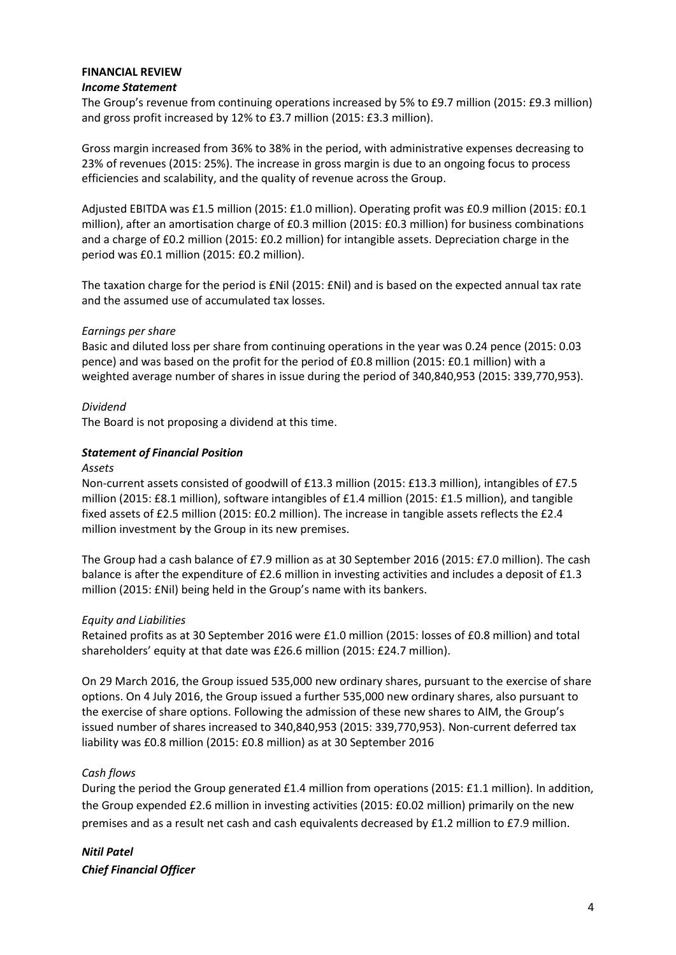# **FINANCIAL REVIEW**

## *Income Statement*

The Group's revenue from continuing operations increased by 5% to £9.7 million (2015: £9.3 million) and gross profit increased by 12% to £3.7 million (2015: £3.3 million).

Gross margin increased from 36% to 38% in the period, with administrative expenses decreasing to 23% of revenues (2015: 25%). The increase in gross margin is due to an ongoing focus to process efficiencies and scalability, and the quality of revenue across the Group.

Adjusted EBITDA was £1.5 million (2015: £1.0 million). Operating profit was £0.9 million (2015: £0.1 million), after an amortisation charge of £0.3 million (2015: £0.3 million) for business combinations and a charge of £0.2 million (2015: £0.2 million) for intangible assets. Depreciation charge in the period was £0.1 million (2015: £0.2 million).

The taxation charge for the period is £Nil (2015: £Nil) and is based on the expected annual tax rate and the assumed use of accumulated tax losses.

# *Earnings per share*

Basic and diluted loss per share from continuing operations in the year was 0.24 pence (2015: 0.03 pence) and was based on the profit for the period of £0.8 million (2015: £0.1 million) with a weighted average number of shares in issue during the period of 340,840,953 (2015: 339,770,953).

## *Dividend*

The Board is not proposing a dividend at this time.

## *Statement of Financial Position*

#### *Assets*

Non-current assets consisted of goodwill of £13.3 million (2015: £13.3 million), intangibles of £7.5 million (2015: £8.1 million), software intangibles of £1.4 million (2015: £1.5 million), and tangible fixed assets of £2.5 million (2015: £0.2 million). The increase in tangible assets reflects the £2.4 million investment by the Group in its new premises.

The Group had a cash balance of £7.9 million as at 30 September 2016 (2015: £7.0 million). The cash balance is after the expenditure of £2.6 million in investing activities and includes a deposit of £1.3 million (2015: £Nil) being held in the Group's name with its bankers.

#### *Equity and Liabilities*

Retained profits as at 30 September 2016 were £1.0 million (2015: losses of £0.8 million) and total shareholders' equity at that date was £26.6 million (2015: £24.7 million).

On 29 March 2016, the Group issued 535,000 new ordinary shares, pursuant to the exercise of share options. On 4 July 2016, the Group issued a further 535,000 new ordinary shares, also pursuant to the exercise of share options. Following the admission of these new shares to AIM, the Group's issued number of shares increased to 340,840,953 (2015: 339,770,953). Non-current deferred tax liability was £0.8 million (2015: £0.8 million) as at 30 September 2016

# *Cash flows*

During the period the Group generated £1.4 million from operations (2015: £1.1 million). In addition, the Group expended £2.6 million in investing activities (2015: £0.02 million) primarily on the new premises and as a result net cash and cash equivalents decreased by £1.2 million to £7.9 million.

*Nitil Patel Chief Financial Officer*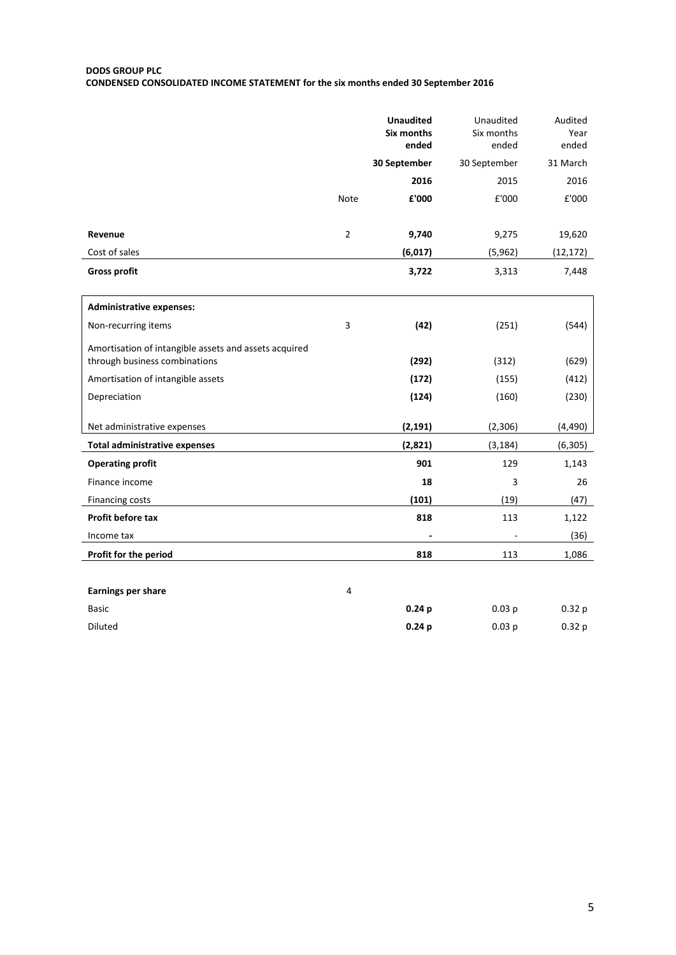#### **DODS GROUP PLC**

**CONDENSED CONSOLIDATED INCOME STATEMENT for the six months ended 30 September 2016**

|                                                                                        |                | <b>Unaudited</b><br>Six months<br>ended | Unaudited<br>Six months<br>ended | Audited<br>Year<br>ended |
|----------------------------------------------------------------------------------------|----------------|-----------------------------------------|----------------------------------|--------------------------|
|                                                                                        |                | 30 September                            | 30 September                     | 31 March                 |
|                                                                                        |                | 2016                                    | 2015                             | 2016                     |
|                                                                                        | Note           | £'000                                   | £'000                            | £'000                    |
|                                                                                        |                |                                         |                                  |                          |
| Revenue                                                                                | $\overline{2}$ | 9,740                                   | 9,275                            | 19,620                   |
| Cost of sales                                                                          |                | (6,017)                                 | (5,962)                          | (12, 172)                |
| <b>Gross profit</b>                                                                    |                | 3,722                                   | 3,313                            | 7,448                    |
|                                                                                        |                |                                         |                                  |                          |
| <b>Administrative expenses:</b>                                                        |                |                                         |                                  |                          |
| Non-recurring items                                                                    | 3              | (42)                                    | (251)                            | (544)                    |
| Amortisation of intangible assets and assets acquired<br>through business combinations |                | (292)                                   | (312)                            | (629)                    |
| Amortisation of intangible assets                                                      |                | (172)                                   | (155)                            | (412)                    |
| Depreciation                                                                           |                | (124)                                   | (160)                            | (230)                    |
|                                                                                        |                |                                         |                                  |                          |
| Net administrative expenses                                                            |                | (2, 191)                                | (2,306)                          | (4, 490)                 |
| <b>Total administrative expenses</b>                                                   |                | (2,821)                                 | (3, 184)                         | (6, 305)                 |
| <b>Operating profit</b>                                                                |                | 901                                     | 129                              | 1,143                    |
| Finance income                                                                         |                | 18                                      | 3                                | 26                       |
| Financing costs                                                                        |                | (101)                                   | (19)                             | (47)                     |
| Profit before tax                                                                      |                | 818                                     | 113                              | 1,122                    |
| Income tax                                                                             |                |                                         |                                  | (36)                     |
| Profit for the period                                                                  |                | 818                                     | 113                              | 1,086                    |
|                                                                                        |                |                                         |                                  |                          |
| Earnings per share                                                                     | 4              |                                         |                                  |                          |
|                                                                                        |                |                                         | $\sim$                           |                          |

| Basic   | 0.24p | 0.03p | 0.32 <sub>p</sub> |
|---------|-------|-------|-------------------|
| Diluted | 0.24p | 0.03p | 0.32 <sub>p</sub> |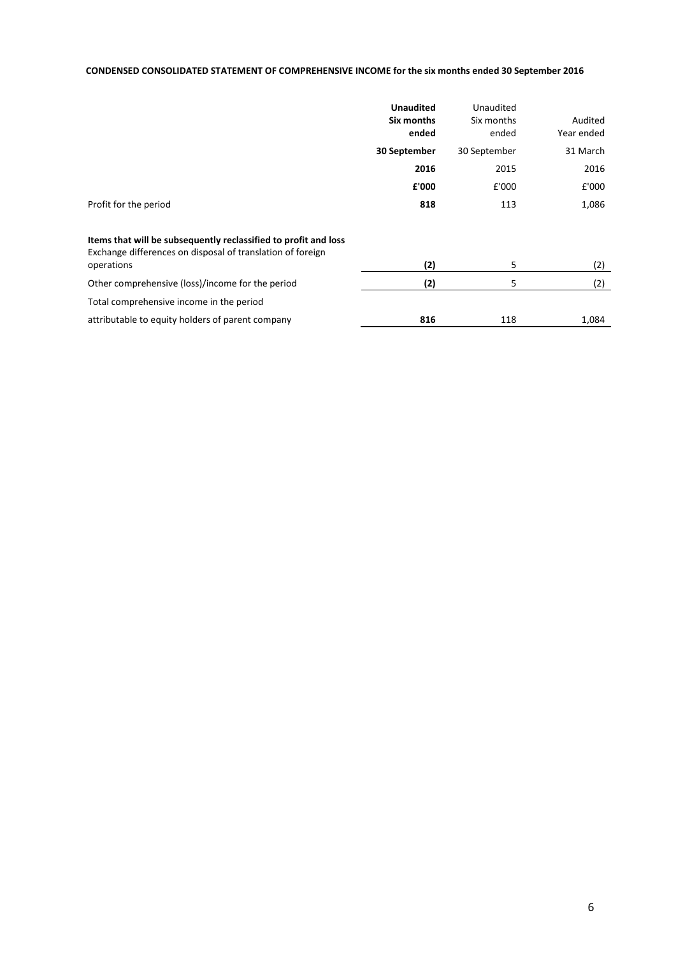## **CONDENSED CONSOLIDATED STATEMENT OF COMPREHENSIVE INCOME for the six months ended 30 September 2016**

|                                                                                                                                             | <b>Unaudited</b><br>Six months<br>ended | Unaudited<br>Six months<br>ended | Audited<br>Year ended |
|---------------------------------------------------------------------------------------------------------------------------------------------|-----------------------------------------|----------------------------------|-----------------------|
|                                                                                                                                             | 30 September                            | 30 September                     | 31 March              |
|                                                                                                                                             | 2016                                    | 2015                             | 2016                  |
|                                                                                                                                             | £'000                                   | £'000                            | £'000                 |
| Profit for the period                                                                                                                       | 818                                     | 113                              | 1,086                 |
| Items that will be subsequently reclassified to profit and loss<br>Exchange differences on disposal of translation of foreign<br>operations | (2)                                     | 5                                | (2)                   |
| Other comprehensive (loss)/income for the period                                                                                            | (2)                                     | 5                                | (2)                   |
| Total comprehensive income in the period                                                                                                    |                                         |                                  |                       |
| attributable to equity holders of parent company                                                                                            | 816                                     | 118                              | 1,084                 |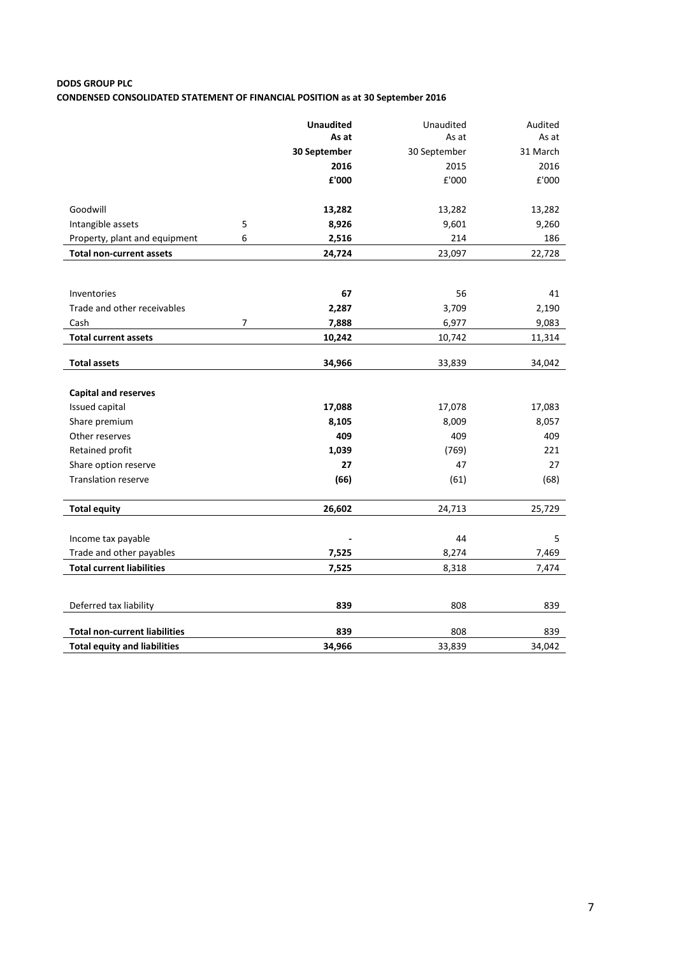# **DODS GROUP PLC CONDENSED CONSOLIDATED STATEMENT OF FINANCIAL POSITION as at 30 September 2016**

|                                                    |   | <b>Unaudited</b> | Unaudited    | Audited  |
|----------------------------------------------------|---|------------------|--------------|----------|
|                                                    |   | As at            | As at        | As at    |
|                                                    |   | 30 September     | 30 September | 31 March |
|                                                    |   | 2016             | 2015         | 2016     |
|                                                    |   | £'000            | £'000        | £'000    |
|                                                    |   |                  |              |          |
| Goodwill                                           |   | 13,282           | 13,282       | 13,282   |
| Intangible assets                                  | 5 | 8,926            | 9,601        | 9,260    |
| Property, plant and equipment                      | 6 | 2,516            | 214          | 186      |
| <b>Total non-current assets</b>                    |   | 24,724           | 23,097       | 22,728   |
|                                                    |   |                  |              |          |
|                                                    |   |                  |              |          |
| Inventories                                        |   | 67               | 56           | 41       |
| Trade and other receivables                        |   | 2,287            | 3,709        | 2,190    |
| Cash                                               | 7 | 7,888            | 6,977        | 9,083    |
| <b>Total current assets</b>                        |   | 10,242           | 10,742       | 11,314   |
|                                                    |   |                  |              |          |
| <b>Total assets</b>                                |   | 34,966           | 33,839       | 34,042   |
| <b>Capital and reserves</b>                        |   |                  |              |          |
| Issued capital                                     |   | 17,088           | 17,078       | 17,083   |
| Share premium                                      |   | 8,105            | 8,009        | 8,057    |
| Other reserves                                     |   | 409              | 409          | 409      |
| Retained profit                                    |   | 1,039            | (769)        | 221      |
|                                                    |   | 27               | 47           | 27       |
| Share option reserve<br><b>Translation reserve</b> |   | (66)             |              |          |
|                                                    |   |                  | (61)         | (68)     |
| <b>Total equity</b>                                |   | 26,602           | 24,713       | 25,729   |
|                                                    |   |                  |              |          |
| Income tax payable                                 |   |                  | 44           | 5        |
| Trade and other payables                           |   | 7,525            | 8,274        | 7,469    |
| <b>Total current liabilities</b>                   |   | 7,525            | 8,318        | 7,474    |
|                                                    |   |                  |              |          |
|                                                    |   |                  |              |          |
| Deferred tax liability                             |   | 839              | 808          | 839      |
|                                                    |   |                  |              |          |
| <b>Total non-current liabilities</b>               |   | 839              | 808          | 839      |
| <b>Total equity and liabilities</b>                |   | 34,966           | 33,839       | 34,042   |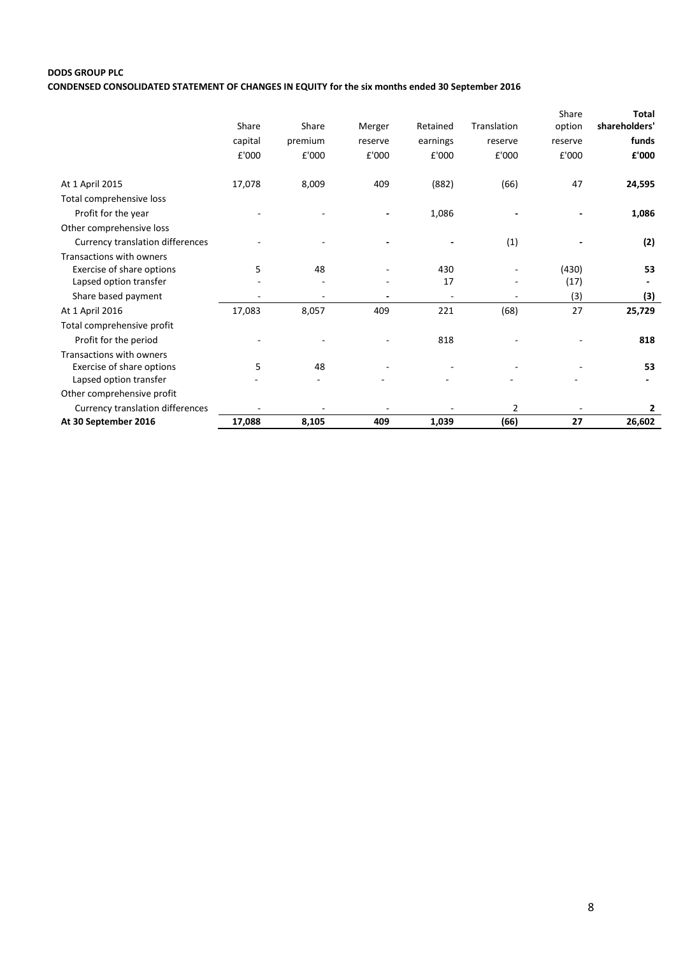# **DODS GROUP PLC CONDENSED CONSOLIDATED STATEMENT OF CHANGES IN EQUITY for the six months ended 30 September 2016**

|                                         |         |         |         |                          |             | Share                    | <b>Total</b>             |
|-----------------------------------------|---------|---------|---------|--------------------------|-------------|--------------------------|--------------------------|
|                                         | Share   | Share   | Merger  | Retained                 | Translation | option                   | shareholders'            |
|                                         | capital | premium | reserve | earnings                 | reserve     | reserve                  | funds                    |
|                                         | £'000   | £'000   | £'000   | £'000                    | £'000       | £'000                    | £'000                    |
|                                         |         |         |         |                          |             |                          |                          |
| At 1 April 2015                         | 17,078  | 8,009   | 409     | (882)                    | (66)        | 47                       | 24,595                   |
| Total comprehensive loss                |         |         |         |                          |             |                          |                          |
| Profit for the year                     |         |         |         | 1,086                    |             |                          | 1,086                    |
| Other comprehensive loss                |         |         |         |                          |             |                          |                          |
| Currency translation differences        |         |         |         |                          | (1)         |                          | (2)                      |
| Transactions with owners                |         |         |         |                          |             |                          |                          |
| Exercise of share options               | 5       | 48      |         | 430                      |             | (430)                    | 53                       |
| Lapsed option transfer                  |         |         |         | 17                       |             | (17)                     | $\overline{\phantom{a}}$ |
| Share based payment                     |         |         |         | $\overline{\phantom{a}}$ |             | (3)                      | (3)                      |
| At 1 April 2016                         | 17,083  | 8,057   | 409     | 221                      | (68)        | 27                       | 25,729                   |
| Total comprehensive profit              |         |         |         |                          |             |                          |                          |
| Profit for the period                   |         |         |         | 818                      |             |                          | 818                      |
| Transactions with owners                |         |         |         |                          |             |                          |                          |
| Exercise of share options               | 5       | 48      |         |                          |             |                          | 53                       |
| Lapsed option transfer                  |         |         |         |                          |             |                          |                          |
| Other comprehensive profit              |         |         |         |                          |             |                          |                          |
| <b>Currency translation differences</b> |         |         |         |                          | 2           | $\overline{\phantom{a}}$ | 2                        |
| At 30 September 2016                    | 17,088  | 8,105   | 409     | 1,039                    | (66)        | 27                       | 26,602                   |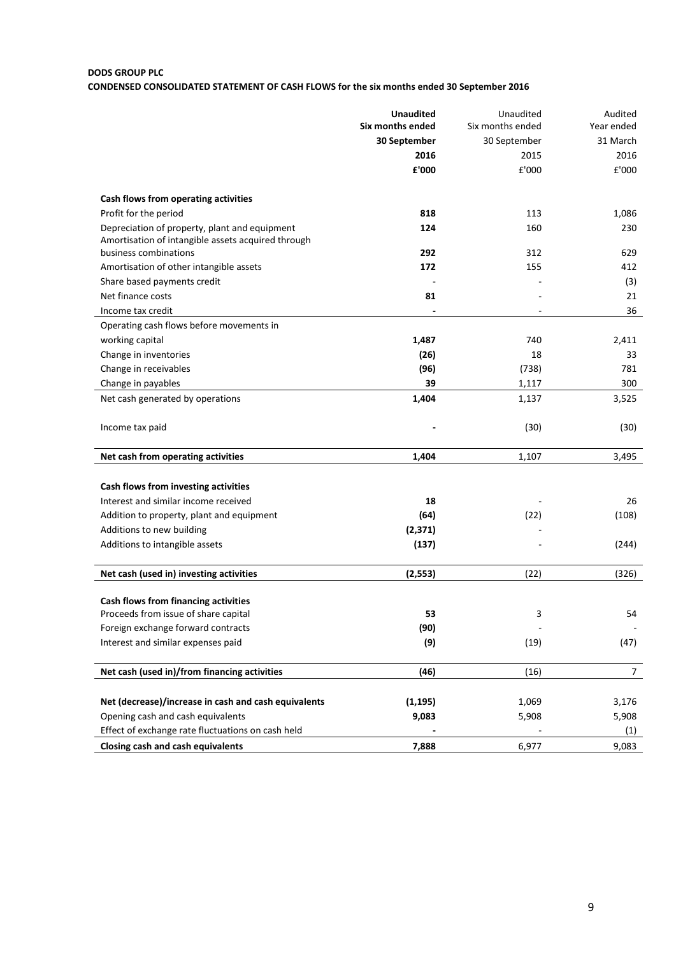# **DODS GROUP PLC**

# **CONDENSED CONSOLIDATED STATEMENT OF CASH FLOWS for the six months ended 30 September 2016**

|                                                      | <b>Unaudited</b> | Unaudited        | Audited        |
|------------------------------------------------------|------------------|------------------|----------------|
|                                                      | Six months ended | Six months ended | Year ended     |
|                                                      | 30 September     | 30 September     | 31 March       |
|                                                      | 2016             | 2015             | 2016           |
|                                                      | £'000            | £'000            | £'000          |
|                                                      |                  |                  |                |
| Cash flows from operating activities                 |                  |                  |                |
| Profit for the period                                | 818              | 113              | 1,086          |
| Depreciation of property, plant and equipment        | 124              | 160              | 230            |
| Amortisation of intangible assets acquired through   |                  |                  |                |
| business combinations                                | 292              | 312              | 629            |
| Amortisation of other intangible assets              | 172              | 155              | 412            |
| Share based payments credit                          |                  |                  | (3)            |
| Net finance costs                                    | 81               |                  | 21             |
| Income tax credit                                    |                  |                  | 36             |
| Operating cash flows before movements in             |                  |                  |                |
| working capital                                      | 1,487            | 740              | 2,411          |
| Change in inventories                                | (26)             | 18               | 33             |
| Change in receivables                                | (96)             | (738)            | 781            |
| Change in payables                                   | 39               | 1,117            | 300            |
| Net cash generated by operations                     | 1,404            | 1,137            | 3,525          |
| Income tax paid                                      |                  | (30)             | (30)           |
|                                                      |                  |                  |                |
| Net cash from operating activities                   | 1,404            | 1,107            | 3,495          |
|                                                      |                  |                  |                |
| Cash flows from investing activities                 |                  |                  |                |
| Interest and similar income received                 | 18               |                  | 26             |
| Addition to property, plant and equipment            | (64)             | (22)             | (108)          |
| Additions to new building                            | (2, 371)         |                  |                |
| Additions to intangible assets                       | (137)            |                  | (244)          |
| Net cash (used in) investing activities              | (2, 553)         | (22)             | (326)          |
|                                                      |                  |                  |                |
| Cash flows from financing activities                 |                  |                  |                |
| Proceeds from issue of share capital                 | 53               | 3                | 54             |
| Foreign exchange forward contracts                   | (90)             |                  |                |
| Interest and similar expenses paid                   | (9)              | (19)             | (47)           |
| Net cash (used in)/from financing activities         | (46)             | (16)             | $\overline{7}$ |
|                                                      |                  |                  |                |
| Net (decrease)/increase in cash and cash equivalents | (1, 195)         | 1,069            | 3,176          |
| Opening cash and cash equivalents                    | 9,083            | 5,908            | 5,908          |
| Effect of exchange rate fluctuations on cash held    |                  |                  | (1)            |
| Closing cash and cash equivalents                    | 7,888            | 6,977            | 9,083          |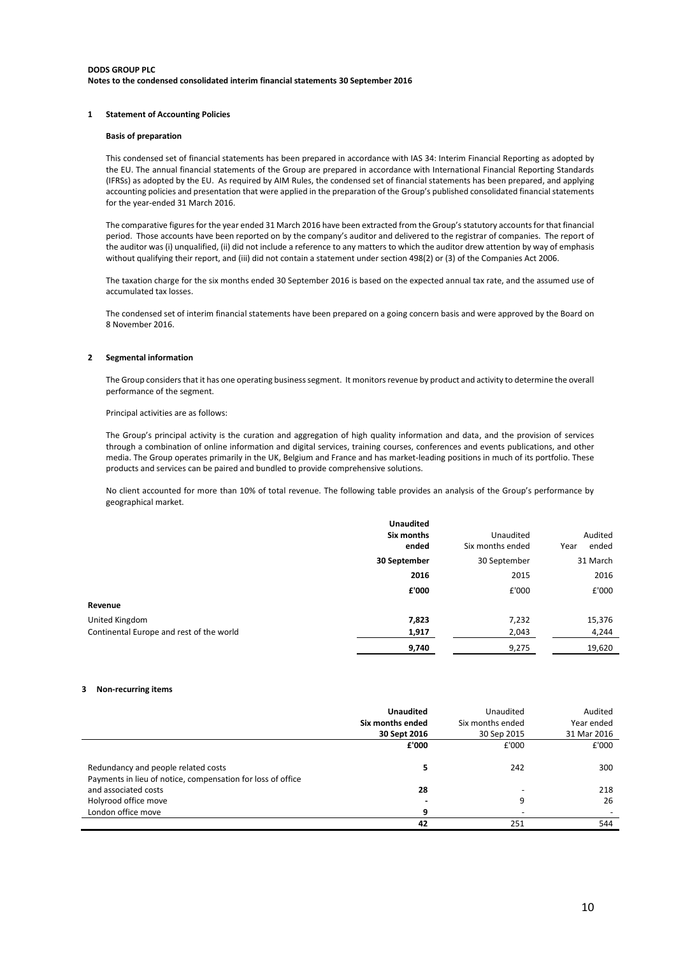#### **DODS GROUP PLC Notes to the condensed consolidated interim financial statements 30 September 2016**

#### **1 Statement of Accounting Policies**

#### **Basis of preparation**

This condensed set of financial statements has been prepared in accordance with IAS 34: Interim Financial Reporting as adopted by the EU. The annual financial statements of the Group are prepared in accordance with International Financial Reporting Standards (IFRSs) as adopted by the EU. As required by AIM Rules, the condensed set of financial statements has been prepared, and applying accounting policies and presentation that were applied in the preparation of the Group's published consolidated financial statements for the year-ended 31 March 2016.

The comparative figures for the year ended 31 March 2016 have been extracted from the Group's statutory accounts for that financial period. Those accounts have been reported on by the company's auditor and delivered to the registrar of companies. The report of the auditor was (i) unqualified, (ii) did not include a reference to any matters to which the auditor drew attention by way of emphasis without qualifying their report, and (iii) did not contain a statement under section 498(2) or (3) of the Companies Act 2006.

The taxation charge for the six months ended 30 September 2016 is based on the expected annual tax rate, and the assumed use of accumulated tax losses.

The condensed set of interim financial statements have been prepared on a going concern basis and were approved by the Board on 8 November 2016.

#### **2 Segmental information**

The Group considers that it has one operating business segment. It monitors revenue by product and activity to determine the overall performance of the segment.

Principal activities are as follows:

The Group's principal activity is the curation and aggregation of high quality information and data, and the provision of services through a combination of online information and digital services, training courses, conferences and events publications, and other media. The Group operates primarily in the UK, Belgium and France and has market-leading positions in much of its portfolio. These products and services can be paired and bundled to provide comprehensive solutions.

No client accounted for more than 10% of total revenue. The following table provides an analysis of the Group's performance by geographical market.

|                                          | <b>Unaudited</b><br>Six months<br>ended | Unaudited<br>Six months ended | Audited<br>ended<br>Year |
|------------------------------------------|-----------------------------------------|-------------------------------|--------------------------|
|                                          | 30 September                            | 30 September                  | 31 March                 |
|                                          | 2016                                    | 2015                          | 2016                     |
|                                          | £'000                                   | £'000                         | £'000                    |
| Revenue                                  |                                         |                               |                          |
| United Kingdom                           | 7,823                                   | 7,232                         | 15,376                   |
| Continental Europe and rest of the world | 1,917                                   | 2,043                         | 4,244                    |
|                                          | 9,740                                   | 9,275                         | 19,620                   |

#### **3 Non-recurring items**

|                                                                                     | Unaudited        | Unaudited        | Audited     |
|-------------------------------------------------------------------------------------|------------------|------------------|-------------|
|                                                                                     | Six months ended | Six months ended | Year ended  |
|                                                                                     | 30 Sept 2016     | 30 Sep 2015      | 31 Mar 2016 |
|                                                                                     | £'000            | £'000            | £'000       |
| Redundancy and people related costs                                                 | 5                | 242              | 300         |
| Payments in lieu of notice, compensation for loss of office<br>and associated costs | 28               | -                | 218         |
| Holyrood office move                                                                |                  | 9                | 26          |
| London office move                                                                  | 9                | ٠                |             |
|                                                                                     | 42               | 251              | 544         |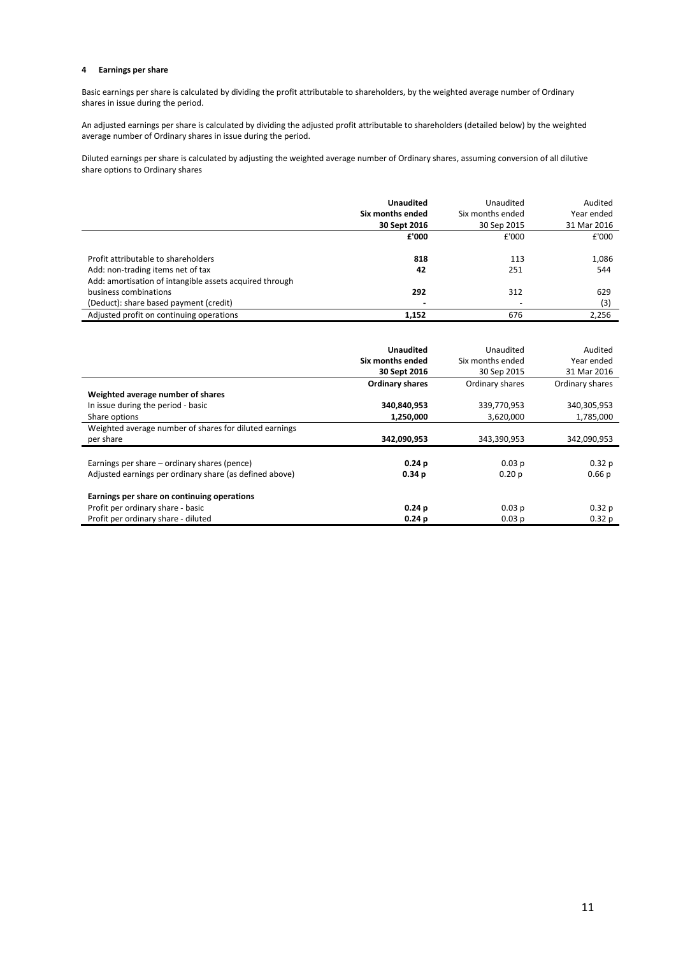#### **4 Earnings per share**

Basic earnings per share is calculated by dividing the profit attributable to shareholders, by the weighted average number of Ordinary shares in issue during the period.

An adjusted earnings per share is calculated by dividing the adjusted profit attributable to shareholders (detailed below) by the weighted average number of Ordinary shares in issue during the period.

Diluted earnings per share is calculated by adjusting the weighted average number of Ordinary shares, assuming conversion of all dilutive share options to Ordinary shares

|                                                         | Unaudited<br>Six months ended | Unaudited<br>Six months ended | Audited<br>Year ended |
|---------------------------------------------------------|-------------------------------|-------------------------------|-----------------------|
|                                                         | 30 Sept 2016                  | 30 Sep 2015                   | 31 Mar 2016           |
|                                                         | £'000                         | £'000                         | £'000                 |
| Profit attributable to shareholders                     | 818                           | 113                           | 1,086                 |
| Add: non-trading items net of tax                       | 42                            | 251                           | 544                   |
| Add: amortisation of intangible assets acquired through |                               |                               |                       |
| business combinations                                   | 292                           | 312                           | 629                   |
| (Deduct): share based payment (credit)                  |                               |                               | (3)                   |
| Adjusted profit on continuing operations                | 1.152                         | 676                           | 2,256                 |

|                                                         | <b>Unaudited</b><br>Six months ended | Unaudited<br>Six months ended | Audited<br>Year ended |
|---------------------------------------------------------|--------------------------------------|-------------------------------|-----------------------|
|                                                         | 30 Sept 2016                         | 30 Sep 2015                   | 31 Mar 2016           |
|                                                         | <b>Ordinary shares</b>               | Ordinary shares               | Ordinary shares       |
| Weighted average number of shares                       |                                      |                               |                       |
| In issue during the period - basic                      | 340,840,953                          | 339,770,953                   | 340,305,953           |
| Share options                                           | 1,250,000                            | 3,620,000                     | 1,785,000             |
| Weighted average number of shares for diluted earnings  |                                      |                               |                       |
| per share                                               | 342,090,953                          | 343,390,953                   | 342,090,953           |
| Earnings per share – ordinary shares (pence)            | 0.24p                                | 0.03 p                        | 0.32 <sub>p</sub>     |
| Adjusted earnings per ordinary share (as defined above) | 0.34 <sub>p</sub>                    | 0.20 <sub>p</sub>             | 0.66p                 |
| Earnings per share on continuing operations             |                                      |                               |                       |
| Profit per ordinary share - basic                       | 0.24 <sub>p</sub>                    | 0.03 p                        | 0.32p                 |
| Profit per ordinary share - diluted                     | 0.24 <sub>p</sub>                    | 0.03 <sub>p</sub>             | 0.32p                 |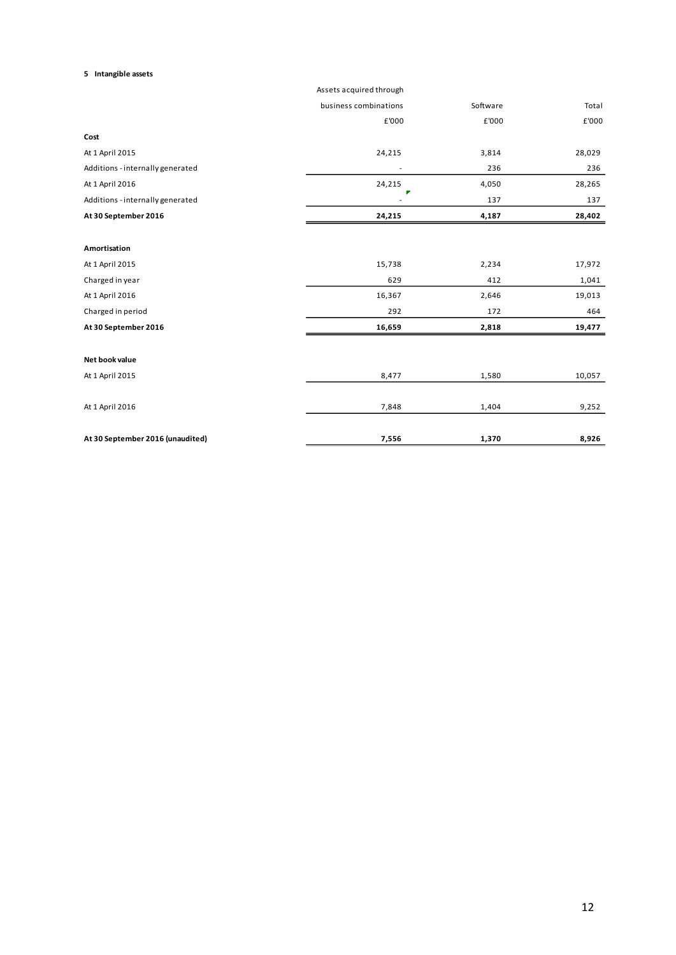## **5 Intangible assets**

|                                  | Assets acquired through |          |        |
|----------------------------------|-------------------------|----------|--------|
|                                  | business combinations   | Software | Total  |
|                                  | £'000                   | £'000    | £'000  |
| Cost                             |                         |          |        |
| At 1 April 2015                  | 24,215                  | 3,814    | 28,029 |
| Additions - internally generated | $\overline{a}$          | 236      | 236    |
| At 1 April 2016                  | 24,215                  | 4,050    | 28,265 |
| Additions - internally generated |                         | 137      | 137    |
| At 30 September 2016             | 24,215                  | 4,187    | 28,402 |
|                                  |                         |          |        |
| Amortisation                     |                         |          |        |
| At 1 April 2015                  | 15,738                  | 2,234    | 17,972 |
| Charged in year                  | 629                     | 412      | 1,041  |
| At 1 April 2016                  | 16,367                  | 2,646    | 19,013 |
| Charged in period                | 292                     | 172      | 464    |
| At 30 September 2016             | 16,659                  | 2,818    | 19,477 |
|                                  |                         |          |        |
| Net book value                   |                         |          |        |
| At 1 April 2015                  | 8,477                   | 1,580    | 10,057 |
| At 1 April 2016                  | 7,848                   | 1,404    | 9,252  |
| At 30 September 2016 (unaudited) | 7,556                   | 1,370    | 8,926  |